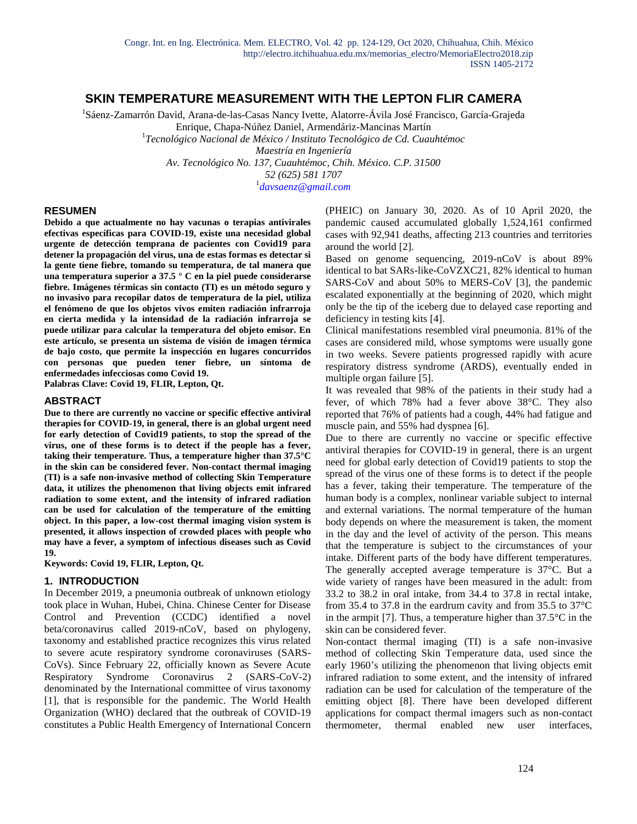# **SKIN TEMPERATURE MEASUREMENT WITH THE LEPTON FLIR CAMERA**

<sup>1</sup>Sáenz-Zamarrón David, Arana-de-las-Casas Nancy Ivette, Alatorre-Ávila José Francisco, García-Grajeda Enrique, Chapa-Núñez Daniel, Armendáriz-Mancinas Martín 1 *Tecnológico Nacional de México / Instituto Tecnológico de Cd. Cuauhtémoc*

*Maestría en Ingeniería Av. Tecnológico No. 137, Cuauhtémoc, Chih. México. C.P. 31500 52 (625) 581 1707*

1 *davsaenz@gmail.com*

### **RESUMEN**

**Debido a que actualmente no hay vacunas o terapias antivirales efectivas específicas para COVID-19, existe una necesidad global urgente de detección temprana de pacientes con Covid19 para detener la propagación del virus, una de estas formas es detectar si la gente tiene fiebre, tomando su temperatura, de tal manera que una temperatura superior a 37.5 ° C en la piel puede considerarse fiebre. Imágenes térmicas sin contacto (TI) es un método seguro y no invasivo para recopilar datos de temperatura de la piel, utiliza el fenómeno de que los objetos vivos emiten radiación infrarroja en cierta medida y la intensidad de la radiación infrarroja se puede utilizar para calcular la temperatura del objeto emisor. En este artículo, se presenta un sistema de visión de imagen térmica de bajo costo, que permite la inspección en lugares concurridos con personas que pueden tener fiebre, un síntoma de enfermedades infecciosas como Covid 19.**

**Palabras Clave: Covid 19, FLIR, Lepton, Qt.**

#### **ABSTRACT**

**Due to there are currently no vaccine or specific effective antiviral therapies for COVID-19, in general, there is an global urgent need for early detection of Covid19 patients, to stop the spread of the virus, one of these forms is to detect if the people has a fever, taking their temperature. Thus, a temperature higher than 37.5°C in the skin can be considered fever. Non-contact thermal imaging (TI) is a safe non-invasive method of collecting Skin Temperature data, it utilizes the phenomenon that living objects emit infrared radiation to some extent, and the intensity of infrared radiation can be used for calculation of the temperature of the emitting object. In this paper, a low-cost thermal imaging vision system is presented, it allows inspection of crowded places with people who may have a fever, a symptom of infectious diseases such as Covid 19.**

**Keywords: Covid 19, FLIR, Lepton, Qt.**

#### **1. INTRODUCTION**

In December 2019, a pneumonia outbreak of unknown etiology took place in Wuhan, Hubei, China. Chinese Center for Disease Control and Prevention (CCDC) identified a novel beta/coronavirus called 2019-nCoV, based on phylogeny, taxonomy and established practice recognizes this virus related to severe acute respiratory syndrome coronaviruses (SARS-CoVs). Since February 22, officially known as Severe Acute Respiratory Syndrome Coronavirus 2 (SARS-CoV-2) denominated by the International committee of virus taxonomy [1], that is responsible for the pandemic. The World Health Organization (WHO) declared that the outbreak of COVID-19 constitutes a Public Health Emergency of International Concern (PHEIC) on January 30, 2020. As of 10 April 2020, the pandemic caused accumulated globally 1,524,161 confirmed cases with 92,941 deaths, affecting 213 countries and territories around the world [2].

Based on genome sequencing, 2019-nCoV is about 89% identical to bat SARs-like-CoVZXC21, 82% identical to human SARS-CoV and about 50% to MERS-CoV [3], the pandemic escalated exponentially at the beginning of 2020, which might only be the tip of the iceberg due to delayed case reporting and deficiency in testing kits [4].

Clinical manifestations resembled viral pneumonia. 81% of the cases are considered mild, whose symptoms were usually gone in two weeks. Severe patients progressed rapidly with acure respiratory distress syndrome (ARDS), eventually ended in multiple organ failure [5].

It was revealed that 98% of the patients in their study had a fever, of which 78% had a fever above 38°C. They also reported that 76% of patients had a cough, 44% had fatigue and muscle pain, and 55% had dyspnea [6].

Due to there are currently no vaccine or specific effective antiviral therapies for COVID-19 in general, there is an urgent need for global early detection of Covid19 patients to stop the spread of the virus one of these forms is to detect if the people has a fever, taking their temperature. The temperature of the human body is a complex, nonlinear variable subject to internal and external variations. The normal temperature of the human body depends on where the measurement is taken, the moment in the day and the level of activity of the person. This means that the temperature is subject to the circumstances of your intake. Different parts of the body have different temperatures. The generally accepted average temperature is 37°C. But a wide variety of ranges have been measured in the adult: from 33.2 to 38.2 in oral intake, from 34.4 to 37.8 in rectal intake, from 35.4 to 37.8 in the eardrum cavity and from 35.5 to 37°C in the armpit [7]. Thus, a temperature higher than 37.5°C in the skin can be considered fever.

Non-contact thermal imaging (TI) is a safe non-invasive method of collecting Skin Temperature data, used since the early 1960's utilizing the phenomenon that living objects emit infrared radiation to some extent, and the intensity of infrared radiation can be used for calculation of the temperature of the emitting object [8]. There have been developed different applications for compact thermal imagers such as non-contact thermometer, thermal enabled new user interfaces,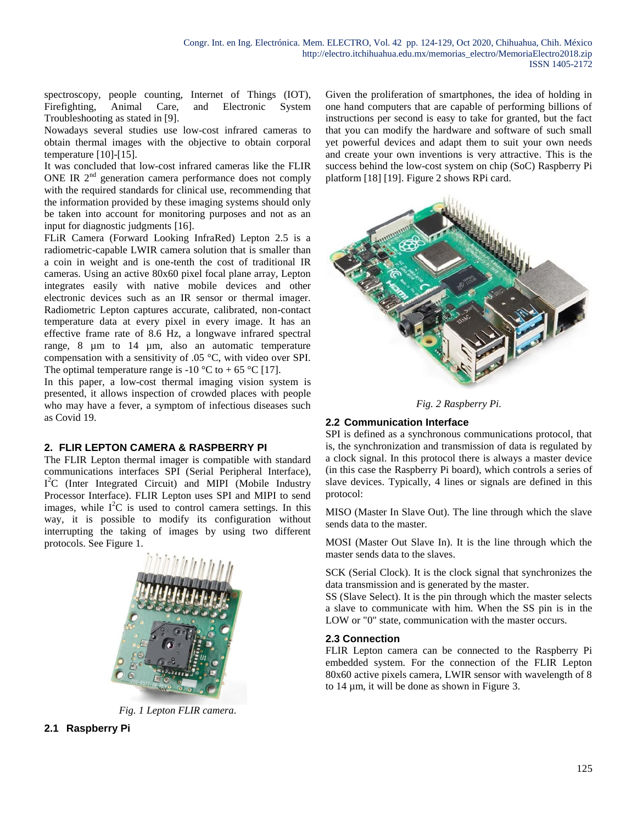spectroscopy, people counting, Internet of Things (IOT), Firefighting, Animal Care, and Electronic System Troubleshooting as stated in [9].

Nowadays several studies use low-cost infrared cameras to obtain thermal images with the objective to obtain corporal temperature [10]-[15].

It was concluded that low-cost infrared cameras like the FLIR ONE IR  $2<sup>nd</sup>$  generation camera performance does not comply with the required standards for clinical use, recommending that the information provided by these imaging systems should only be taken into account for monitoring purposes and not as an input for diagnostic judgments [16].

FLiR Camera (Forward Looking InfraRed) Lepton 2.5 is a radiometric-capable LWIR camera solution that is smaller than a coin in weight and is one-tenth the cost of traditional IR cameras. Using an active 80x60 pixel focal plane array, Lepton integrates easily with native mobile devices and other electronic devices such as an IR sensor or thermal imager. Radiometric Lepton captures accurate, calibrated, non-contact temperature data at every pixel in every image. It has an effective frame rate of 8.6 Hz, a longwave infrared spectral range, 8 µm to 14 µm, also an automatic temperature compensation with a sensitivity of .05 °C, with video over SPI. The optimal temperature range is -10 °C to + 65 °C [17].

In this paper, a low-cost thermal imaging vision system is presented, it allows inspection of crowded places with people who may have a fever, a symptom of infectious diseases such as Covid 19.

# **2. FLIR LEPTON CAMERA & RASPBERRY PI**

The FLIR Lepton thermal imager is compatible with standard communications interfaces SPI (Serial Peripheral Interface), I<sup>2</sup>C (Inter Integrated Circuit) and MIPI (Mobile Industry Processor Interface). FLIR Lepton uses SPI and MIPI to send images, while  $I^2C$  is used to control camera settings. In this way, it is possible to modify its configuration without interrupting the taking of images by using two different protocols. See Figure 1.



*Fig. 1 Lepton FLIR camera.*

**2.1 Raspberry Pi**

Given the proliferation of smartphones, the idea of holding in one hand computers that are capable of performing billions of instructions per second is easy to take for granted, but the fact that you can modify the hardware and software of such small yet powerful devices and adapt them to suit your own needs and create your own inventions is very attractive. This is the success behind the low-cost system on chip (SoC) Raspberry Pi platform [18] [19]. Figure 2 shows RPi card.



*Fig. 2 Raspberry Pi.*

## **2.2 Communication Interface**

SPI is defined as a synchronous communications protocol, that is, the synchronization and transmission of data is regulated by a clock signal. In this protocol there is always a master device (in this case the Raspberry Pi board), which controls a series of slave devices. Typically, 4 lines or signals are defined in this protocol:

MISO (Master In Slave Out). The line through which the slave sends data to the master.

MOSI (Master Out Slave In). It is the line through which the master sends data to the slaves.

SCK (Serial Clock). It is the clock signal that synchronizes the data transmission and is generated by the master.

SS (Slave Select). It is the pin through which the master selects a slave to communicate with him. When the SS pin is in the LOW or "0" state, communication with the master occurs.

## **2.3 Connection**

FLIR Lepton camera can be connected to the Raspberry Pi embedded system. For the connection of the FLIR Lepton 80x60 active pixels camera, LWIR sensor with wavelength of 8 to 14 µm, it will be done as shown in Figure 3.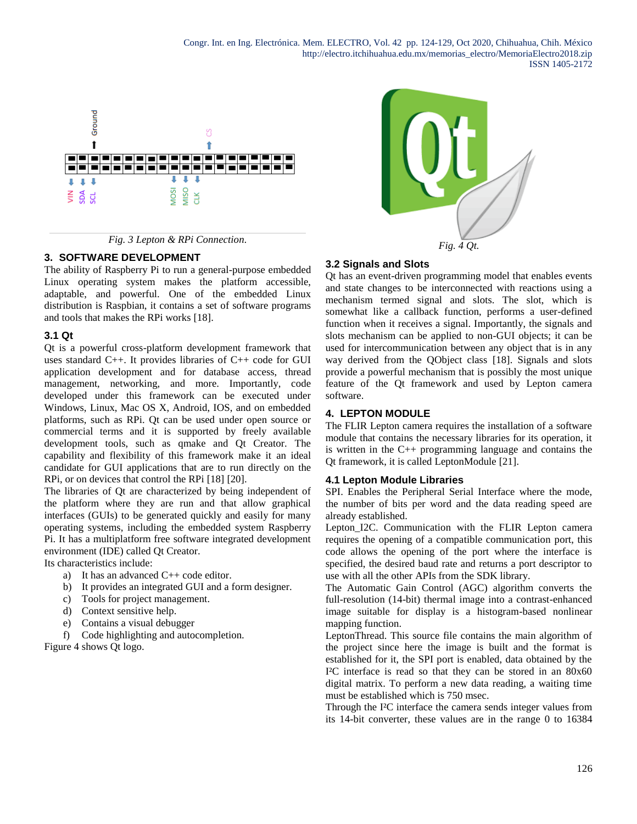



## **3. SOFTWARE DEVELOPMENT**

The ability of Raspberry Pi to run a general-purpose embedded Linux operating system makes the platform accessible, adaptable, and powerful. One of the embedded Linux distribution is Raspbian, it contains a set of software programs and tools that makes the RPi works [18].

## **3.1 Qt**

Qt is a powerful cross-platform development framework that uses standard C++. It provides libraries of C++ code for GUI application development and for database access, thread management, networking, and more. Importantly, code developed under this framework can be executed under Windows, Linux, Mac OS X, Android, IOS, and on embedded platforms, such as RPi. Qt can be used under open source or commercial terms and it is supported by freely available development tools, such as qmake and Qt Creator. The capability and flexibility of this framework make it an ideal candidate for GUI applications that are to run directly on the RPi, or on devices that control the RPi [18] [20].

The libraries of Qt are characterized by being independent of the platform where they are run and that allow graphical interfaces (GUIs) to be generated quickly and easily for many operating systems, including the embedded system Raspberry Pi. It has a multiplatform free software integrated development environment (IDE) called Qt Creator.

Its characteristics include:

- a) It has an advanced C++ code editor.
- b) It provides an integrated GUI and a form designer.
- c) Tools for project management.
- d) Context sensitive help.
- e) Contains a visual debugger
- f) Code highlighting and autocompletion.

Figure 4 shows Qt logo.



### **3.2 Signals and Slots**

Qt has an event-driven programming model that enables events and state changes to be interconnected with reactions using a mechanism termed signal and slots. The slot, which is somewhat like a callback function, performs a user-defined function when it receives a signal. Importantly, the signals and slots mechanism can be applied to non-GUI objects; it can be used for intercommunication between any object that is in any way derived from the QObject class [18]. Signals and slots provide a powerful mechanism that is possibly the most unique feature of the Qt framework and used by Lepton camera software.

### **4. LEPTON MODULE**

The FLIR Lepton camera requires the installation of a software module that contains the necessary libraries for its operation, it is written in the C++ programming language and contains the Qt framework, it is called LeptonModule [21].

#### **4.1 Lepton Module Libraries**

SPI. Enables the Peripheral Serial Interface where the mode, the number of bits per word and the data reading speed are already established.

Lepton\_I2C. Communication with the FLIR Lepton camera requires the opening of a compatible communication port, this code allows the opening of the port where the interface is specified, the desired baud rate and returns a port descriptor to use with all the other APIs from the SDK library.

The Automatic Gain Control (AGC) algorithm converts the full-resolution (14-bit) thermal image into a contrast-enhanced image suitable for display is a histogram-based nonlinear mapping function.

LeptonThread. This source file contains the main algorithm of the project since here the image is built and the format is established for it, the SPI port is enabled, data obtained by the I²C interface is read so that they can be stored in an 80x60 digital matrix. To perform a new data reading, a waiting time must be established which is 750 msec.

Through the I²C interface the camera sends integer values from its 14-bit converter, these values are in the range 0 to 16384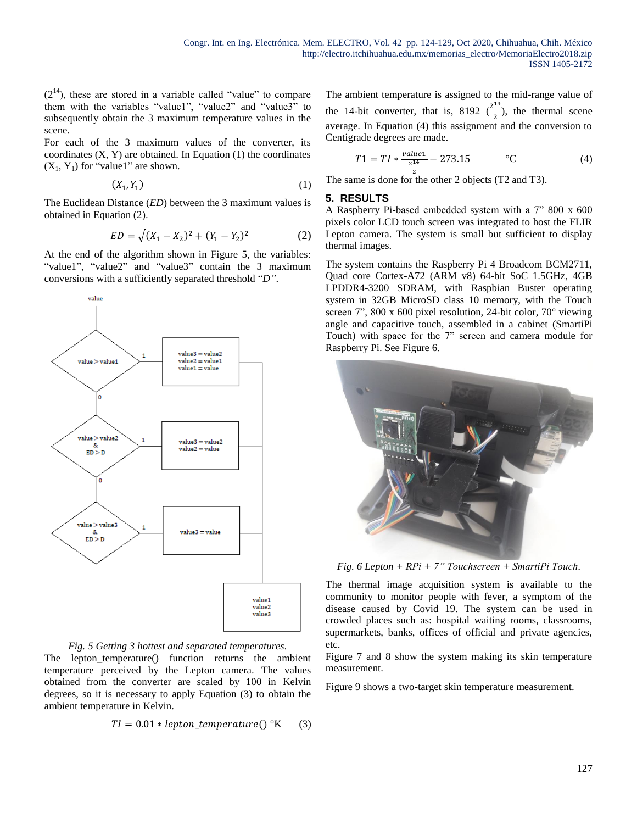$(2<sup>14</sup>)$ , these are stored in a variable called "value" to compare them with the variables "value1", "value2" and "value3" to subsequently obtain the 3 maximum temperature values in the scene.

For each of the 3 maximum values of the converter, its coordinates  $(X, Y)$  are obtained. In Equation  $(1)$  the coordinates  $(X_1, Y_1)$  for "value1" are shown.

$$
(X_1, Y_1) \tag{1}
$$

The Euclidean Distance (*ED*) between the 3 maximum values is obtained in Equation (2).

$$
ED = \sqrt{(X_1 - X_2)^2 + (Y_1 - Y_2)^2}
$$
 (2)

At the end of the algorithm shown in Figure 5, the variables: "value1", "value2" and "value3" contain the 3 maximum conversions with a sufficiently separated threshold "*D"*.



*Fig. 5 Getting 3 hottest and separated temperatures.*

The lepton\_temperature() function returns the ambient temperature perceived by the Lepton camera. The values obtained from the converter are scaled by 100 in Kelvin degrees, so it is necessary to apply Equation (3) to obtain the ambient temperature in Kelvin.

$$
TI = 0.01 * lepton\_temperature()
$$
°K (3)

The ambient temperature is assigned to the mid-range value of the 14-bit converter, that is, 8192  $\left(\frac{2^{14}}{2}\right)$  $\frac{1}{2}$ ), the thermal scene average. In Equation (4) this assignment and the conversion to Centigrade degrees are made.

$$
T1 = TI * \frac{value1}{\frac{2^{14}}{2}} - 273.15 \qquad \text{°C}
$$
 (4)

The same is done for the other 2 objects (T2 and T3).

#### **5. RESULTS**

A Raspberry Pi-based embedded system with a 7" 800 x 600 pixels color LCD touch screen was integrated to host the FLIR Lepton camera. The system is small but sufficient to display thermal images.

The system contains the Raspberry Pi 4 Broadcom BCM2711, Quad core Cortex-A72 (ARM v8) 64-bit SoC 1.5GHz, 4GB LPDDR4-3200 SDRAM, with Raspbian Buster operating system in 32GB MicroSD class 10 memory, with the Touch screen 7", 800 x 600 pixel resolution, 24-bit color, 70° viewing angle and capacitive touch, assembled in a cabinet (SmartiPi Touch) with space for the 7" screen and camera module for Raspberry Pi. See Figure 6.



*Fig. 6 Lepton + RPi + 7" Touchscreen + SmartiPi Touch.*

The thermal image acquisition system is available to the community to monitor people with fever, a symptom of the disease caused by Covid 19. The system can be used in crowded places such as: hospital waiting rooms, classrooms, supermarkets, banks, offices of official and private agencies, etc.

Figure 7 and 8 show the system making its skin temperature measurement.

Figure 9 shows a two-target skin temperature measurement.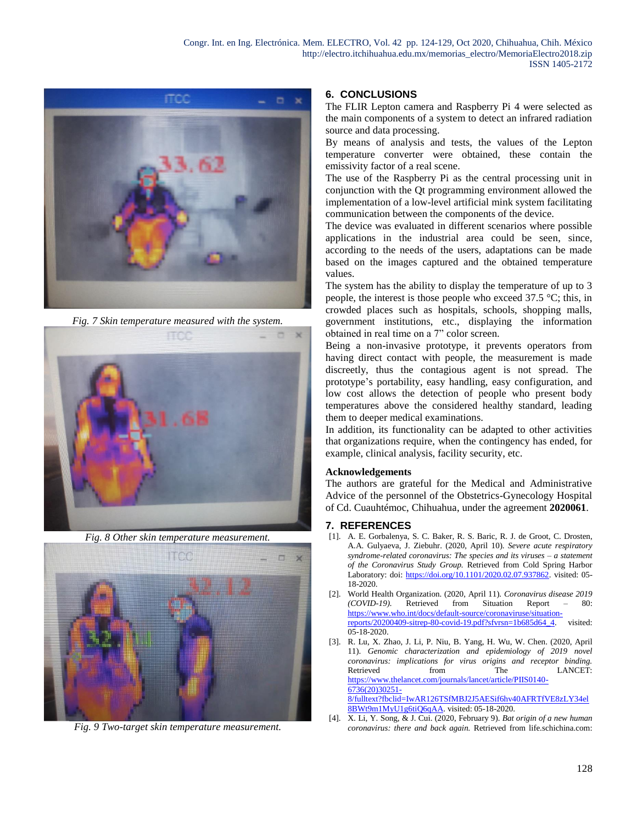

*Fig. 7 Skin temperature measured with the system.*



*Fig. 8 Other skin temperature measurement.*



*Fig. 9 Two-target skin temperature measurement.*

## **6. CONCLUSIONS**

The FLIR Lepton camera and Raspberry Pi 4 were selected as the main components of a system to detect an infrared radiation source and data processing.

By means of analysis and tests, the values of the Lepton temperature converter were obtained, these contain the emissivity factor of a real scene.

The use of the Raspberry Pi as the central processing unit in conjunction with the Qt programming environment allowed the implementation of a low-level artificial mink system facilitating communication between the components of the device.

The device was evaluated in different scenarios where possible applications in the industrial area could be seen, since, according to the needs of the users, adaptations can be made based on the images captured and the obtained temperature values.

The system has the ability to display the temperature of up to 3 people, the interest is those people who exceed 37.5 °C; this, in crowded places such as hospitals, schools, shopping malls, government institutions, etc., displaying the information obtained in real time on a 7" color screen.

Being a non-invasive prototype, it prevents operators from having direct contact with people, the measurement is made discreetly, thus the contagious agent is not spread. The prototype's portability, easy handling, easy configuration, and low cost allows the detection of people who present body temperatures above the considered healthy standard, leading them to deeper medical examinations.

In addition, its functionality can be adapted to other activities that organizations require, when the contingency has ended, for example, clinical analysis, facility security, etc.

#### **Acknowledgements**

The authors are grateful for the Medical and Administrative Advice of the personnel of the Obstetrics-Gynecology Hospital of Cd. Cuauhtémoc, Chihuahua, under the agreement **2020061**.

#### **7. REFERENCES**

- [1]. A. E. Gorbalenya, S. C. Baker, R. S. Baric, R. J. de Groot, C. Drosten, A.A. Gulyaeva, J. Ziebuhr. (2020, April 10). *Severe acute respiratory syndrome-related coronavirus: The species and its viruses – a statement of the Coronavirus Study Group.* Retrieved from Cold Spring Harbor Laboratory: doi: [https://doi.org/10.1101/2020.02.07.937862.](https://doi.org/10.1101/2020.02.07.937862) visited: 05- 18-2020.
- [2]. World Health Organization. (2020, April 11). *Coronavirus disease 2019 (COVID-19).* Retrieved from Situation Report – 80: [https://www.who.int/docs/default-source/coronaviruse/situation](https://www.who.int/docs/default-source/coronaviruse/situation-reports/20200409-sitrep-80-covid-19.pdf?sfvrsn=1b685d64_4)[reports/20200409-sitrep-80-covid-19.pdf?sfvrsn=1b685d64\\_4.](https://www.who.int/docs/default-source/coronaviruse/situation-reports/20200409-sitrep-80-covid-19.pdf?sfvrsn=1b685d64_4) visited: 05-18-2020.
- [3]. R. Lu, X. Zhao, J. Li, P. Niu, B. Yang, H. Wu, W. Chen. (2020, April 11). *Genomic characterization and epidemiology of 2019 novel coronavirus: implications for virus origins and receptor binding.* Retrieved from The LANCET: [https://www.thelancet.com/journals/lancet/article/PIIS0140-](https://www.thelancet.com/journals/lancet/article/PIIS0140-6736(20)30251-8/fulltext?fbclid=IwAR126TSfMBJ2J5AESif6hv40AFRTfVE8zLY34el8BWt9m1MyU1g6tiQ6qAA) [6736\(20\)30251-](https://www.thelancet.com/journals/lancet/article/PIIS0140-6736(20)30251-8/fulltext?fbclid=IwAR126TSfMBJ2J5AESif6hv40AFRTfVE8zLY34el8BWt9m1MyU1g6tiQ6qAA) [8/fulltext?fbclid=IwAR126TSfMBJ2J5AESif6hv40AFRTfVE8zLY34el](https://www.thelancet.com/journals/lancet/article/PIIS0140-6736(20)30251-8/fulltext?fbclid=IwAR126TSfMBJ2J5AESif6hv40AFRTfVE8zLY34el8BWt9m1MyU1g6tiQ6qAA) [8BWt9m1MyU1g6tiQ6qAA.](https://www.thelancet.com/journals/lancet/article/PIIS0140-6736(20)30251-8/fulltext?fbclid=IwAR126TSfMBJ2J5AESif6hv40AFRTfVE8zLY34el8BWt9m1MyU1g6tiQ6qAA) visited: 05-18-2020.
- [4]. X. Li, Y. Song, & J. Cui. (2020, February 9). *Bat origin of a new human coronavirus: there and back again.* Retrieved from life.schichina.com: